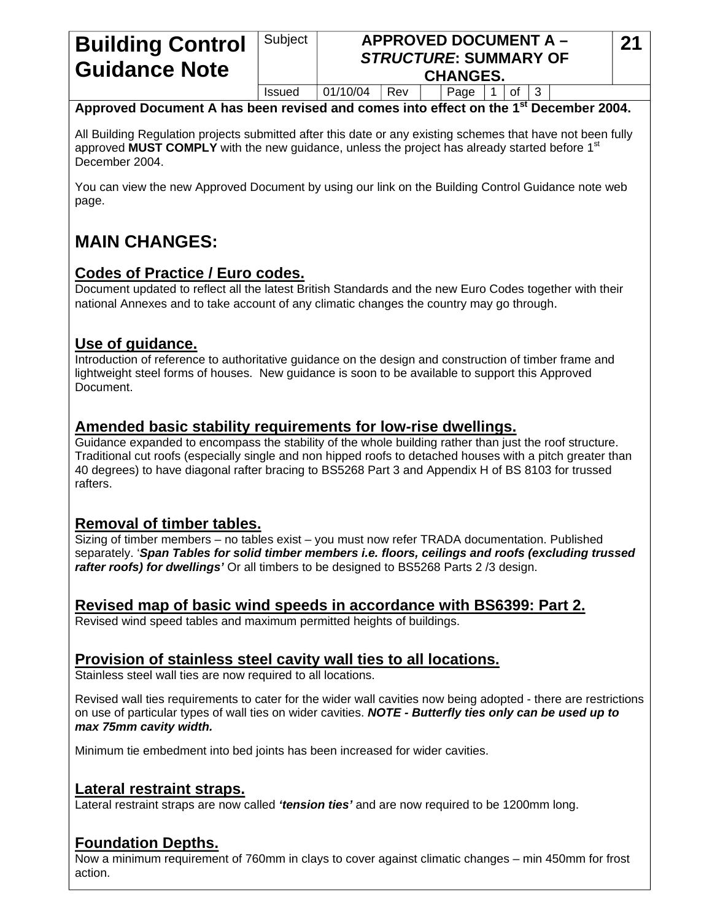# **Building Control Guidance Note**

#### Subject **APPROVED DOCUMENT A –** *STRUCTURE***: SUMMARY OF CHANGES.**

 $Is sued \ 01/10/04 \ | Rev \ | \ 2qge \ 1$  of 3

#### **Approved Document A has been revised and comes into effect on the 1st December 2004.**

All Building Regulation projects submitted after this date or any existing schemes that have not been fully approved **MUST COMPLY** with the new guidance, unless the project has already started before 1<sup>st</sup> December 2004.

You can view the new Approved Document by using our link on the Building Control Guidance note web page.

# **MAIN CHANGES:**

## **Codes of Practice / Euro codes.**

Document updated to reflect all the latest British Standards and the new Euro Codes together with their national Annexes and to take account of any climatic changes the country may go through.

## **Use of guidance.**

Introduction of reference to authoritative guidance on the design and construction of timber frame and lightweight steel forms of houses. New guidance is soon to be available to support this Approved Document.

## **Amended basic stability requirements for low-rise dwellings.**

Guidance expanded to encompass the stability of the whole building rather than just the roof structure. Traditional cut roofs (especially single and non hipped roofs to detached houses with a pitch greater than 40 degrees) to have diagonal rafter bracing to BS5268 Part 3 and Appendix H of BS 8103 for trussed rafters.

## **Removal of timber tables.**

Sizing of timber members – no tables exist – you must now refer TRADA documentation. Published separately. '*Span Tables for solid timber members i.e. floors, ceilings and roofs (excluding trussed rafter roofs) for dwellings'* Or all timbers to be designed to BS5268 Parts 2 /3 design.

#### **Revised map of basic wind speeds in accordance with BS6399: Part 2.**

Revised wind speed tables and maximum permitted heights of buildings.

## **Provision of stainless steel cavity wall ties to all locations.**

Stainless steel wall ties are now required to all locations.

Revised wall ties requirements to cater for the wider wall cavities now being adopted - there are restrictions on use of particular types of wall ties on wider cavities. *NOTE - Butterfly ties only can be used up to max 75mm cavity width.* 

Minimum tie embedment into bed joints has been increased for wider cavities.

## **Lateral restraint straps.**

Lateral restraint straps are now called *'tension ties'* and are now required to be 1200mm long.

## **Foundation Depths.**

Now a minimum requirement of 760mm in clays to cover against climatic changes – min 450mm for frost action.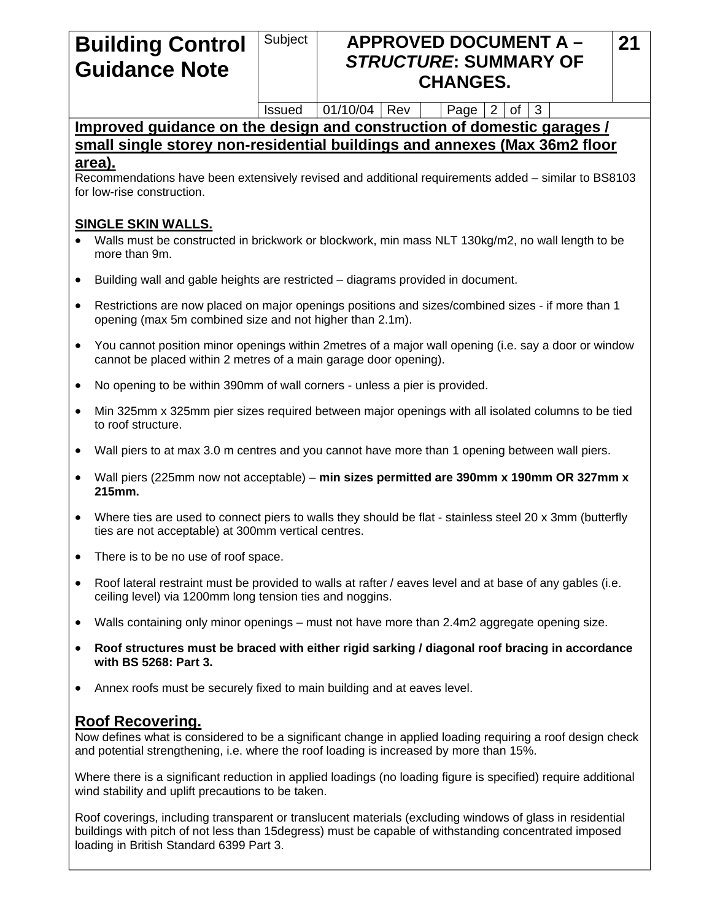# **Building Control Guidance Note**

## Subject | **APPROVED DOCUMENT A –** *STRUCTURE***: SUMMARY OF CHANGES.**

Issued  $|01/10/04|$  Rev | Page 2 of 3

#### **Improved guidance on the design and construction of domestic garages / small single storey non-residential buildings and annexes (Max 36m2 floor area).**

Recommendations have been extensively revised and additional requirements added – similar to BS8103 for low-rise construction.

#### **SINGLE SKIN WALLS.**

- Walls must be constructed in brickwork or blockwork, min mass NLT 130kg/m2, no wall length to be more than 9m.
- Building wall and gable heights are restricted diagrams provided in document.
- Restrictions are now placed on major openings positions and sizes/combined sizes if more than 1 opening (max 5m combined size and not higher than 2.1m).
- You cannot position minor openings within 2metres of a major wall opening (i.e. say a door or window cannot be placed within 2 metres of a main garage door opening).
- No opening to be within 390mm of wall corners unless a pier is provided.
- Min 325mm x 325mm pier sizes required between major openings with all isolated columns to be tied to roof structure.
- Wall piers to at max 3.0 m centres and you cannot have more than 1 opening between wall piers.
- Wall piers (225mm now not acceptable) **min sizes permitted are 390mm x 190mm OR 327mm x 215mm.**
- Where ties are used to connect piers to walls they should be flat stainless steel 20 x 3mm (butterfly ties are not acceptable) at 300mm vertical centres.
- There is to be no use of roof space.
- Roof lateral restraint must be provided to walls at rafter / eaves level and at base of any gables (i.e. ceiling level) via 1200mm long tension ties and noggins.
- Walls containing only minor openings must not have more than 2.4m2 aggregate opening size.
- **Roof structures must be braced with either rigid sarking / diagonal roof bracing in accordance with BS 5268: Part 3.**
- Annex roofs must be securely fixed to main building and at eaves level.

#### **Roof Recovering.**

Now defines what is considered to be a significant change in applied loading requiring a roof design check and potential strengthening, i.e. where the roof loading is increased by more than 15%.

Where there is a significant reduction in applied loadings (no loading figure is specified) require additional wind stability and uplift precautions to be taken.

Roof coverings, including transparent or translucent materials (excluding windows of glass in residential buildings with pitch of not less than 15degress) must be capable of withstanding concentrated imposed loading in British Standard 6399 Part 3.